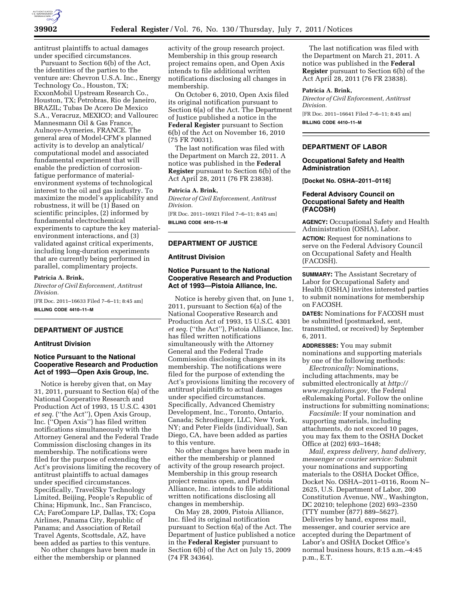

antitrust plaintiffs to actual damages under specified circumstances.

Pursuant to Section 6(b) of the Act, the identities of the parties to the venture are: Chevron U.S.A. Inc., Energy Technology Co., Houston, TX; ExxonMobil Upstream Research Co., Houston, TX; Petrobras, Rio de Janeiro, BRAZIL; Tubas De Acero De Mexico S.A., Veracruz, MEXICO; and Vallourec Mannesmann Oil & Gas France, Aulnoye-Aymeries, FRANCE. The general area of Model-CFM's planned activity is to develop an analytical/ computational model and associated fundamental experiment that will enable the prediction of corrosionfatigue performance of materialenvironment systems of technological interest to the oil and gas industry. To maximize the model's applicability and robustness, it will be (1) Based on scientific principles, (2) informed by fundamental electrochemical experiments to capture the key materialenvironment interactions, and (3) validated against critical experiments, including long-duration experiments that are currently being performed in parallel, complimentary projects.

### **Patricia A. Brink,**

*Director of Civil Enforcement, Antitrust Division.* 

[FR Doc. 2011–16633 Filed 7–6–11; 8:45 am] **BILLING CODE 4410–11–M** 

### **DEPARTMENT OF JUSTICE**

### **Antitrust Division**

## **Notice Pursuant to the National Cooperative Research and Production Act of 1993—Open Axis Group, Inc.**

Notice is hereby given that, on May 31, 2011, pursuant to Section 6(a) of the National Cooperative Research and Production Act of 1993, 15 U.S.C. 4301 *et seq.* (''the Act''), Open Axis Group, Inc. (''Open Axis'') has filed written notifications simultaneously with the Attorney General and the Federal Trade Commission disclosing changes in its membership. The notifications were filed for the purpose of extending the Act's provisions limiting the recovery of antitrust plaintiffs to actual damages under specified circumstances. Specifically, TravelSky Technology Limited, Beijing, People's Republic of China; Hipmunk, Inc., San Francisco, CA; FareCompare LP, Dallas, TX; Copa Airlines, Panama City, Republic of Panama; and Association of Retail Travel Agents, Scottsdale, AZ, have been added as parties to this venture.

No other changes have been made in either the membership or planned

activity of the group research project. Membership in this group research project remains open, and Open Axis intends to file additional written notifications disclosing all changes in membership.

On October 6, 2010, Open Axis filed its original notification pursuant to Section 6(a) of the Act. The Department of Justice published a notice in the **Federal Register** pursuant to Section 6(b) of the Act on November 16, 2010 (75 FR 70031).

The last notification was filed with the Department on March 22, 2011. A notice was published in the **Federal Register** pursuant to Section 6(b) of the Act April 28, 2011 (76 FR 23838).

#### **Patricia A. Brink,**

*Director of Civil Enforcement, Antitrust Division.* 

[FR Doc. 2011–16921 Filed 7–6–11; 8:45 am] **BILLING CODE 4410–11–M** 

## **DEPARTMENT OF JUSTICE**

### **Antitrust Division**

## **Notice Pursuant to the National Cooperative Research and Production Act of 1993—Pistoia Alliance, Inc.**

Notice is hereby given that, on June 1, 2011, pursuant to Section 6(a) of the National Cooperative Research and Production Act of 1993, 15 U.S.C. 4301 *et seq.* (''the Act''), Pistoia Alliance, Inc. has filed written notifications simultaneously with the Attorney General and the Federal Trade Commission disclosing changes in its membership. The notifications were filed for the purpose of extending the Act's provisions limiting the recovery of antitrust plaintiffs to actual damages under specified circumstances. Specifically, Advanced Chemistry Development, Inc., Toronto, Ontario, Canada; Schrodinger, LLC, New York, NY; and Peter Fields (individual), San Diego, CA, have been added as parties to this venture.

No other changes have been made in either the membership or planned activity of the group research project. Membership in this group research project remains open, and Pistoia Alliance, Inc. intends to file additional written notifications disclosing all changes in membership.

On May 28, 2009, Pistoia Alliance, Inc. filed its original notification pursuant to Section 6(a) of the Act. The Department of Justice published a notice in the **Federal Register** pursuant to Section 6(b) of the Act on July 15, 2009 (74 FR 34364).

The last notification was filed with the Department on March 21, 2011. A notice was published in the **Federal Register** pursuant to Section 6(b) of the Act April 28, 2011 (76 FR 23838).

## **Patricia A. Brink,**

*Director of Civil Enforcement, Antitrust Division.*  [FR Doc. 2011–16641 Filed 7–6–11; 8:45 am] **BILLING CODE 4410–11–M** 

## **DEPARTMENT OF LABOR**

#### **Occupational Safety and Health Administration**

**[Docket No. OSHA–2011–0116]** 

## **Federal Advisory Council on Occupational Safety and Health (FACOSH)**

**AGENCY:** Occupational Safety and Health Administration (OSHA), Labor.

**ACTION:** Request for nominations to serve on the Federal Advisory Council on Occupational Safety and Health (FACOSH).

**SUMMARY:** The Assistant Secretary of Labor for Occupational Safety and Health (OSHA) invites interested parties to submit nominations for membership on FACOSH.

**DATES:** Nominations for FACOSH must be submitted (postmarked, sent, transmitted, or received) by September 6, 2011.

**ADDRESSES:** You may submit nominations and supporting materials by one of the following methods:

*Electronically:* Nominations, including attachments, may be submitted electronically at *[http://](http://www.regulations.gov) [www.regulations.gov,](http://www.regulations.gov)* the Federal eRulemaking Portal. Follow the online instructions for submitting nominations;

*Facsimile:* If your nomination and supporting materials, including attachments, do not exceed 10 pages, you may fax them to the OSHA Docket Office at (202) 693–1648;

*Mail, express delivery, hand delivery, messenger or courier service:* Submit your nominations and supporting materials to the OSHA Docket Office, Docket No. OSHA–2011–0116, Room N– 2625, U.S. Department of Labor, 200 Constitution Avenue, NW., Washington, DC 20210; telephone (202) 693–2350 (TTY number (877) 889–5627). Deliveries by hand, express mail, messenger, and courier service are accepted during the Department of Labor's and OSHA Docket Office's normal business hours, 8:15 a.m.–4:45 p.m., E.T.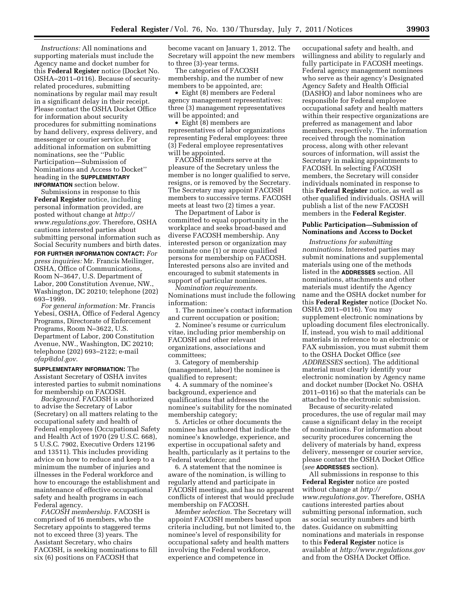*Instructions:* All nominations and supporting materials must include the Agency name and docket number for this **Federal Register** notice (Docket No. OSHA–2011–0116). Because of securityrelated procedures, submitting nominations by regular mail may result in a significant delay in their receipt. Please contact the OSHA Docket Office for information about security procedures for submitting nominations by hand delivery, express delivery, and messenger or courier service. For additional information on submitting nominations, see the ''Public Participation—Submission of Nominations and Access to Docket'' heading in the **SUPPLEMENTARY INFORMATION** section below.

Submissions in response to this **Federal Register** notice, including personal information provided, are posted without change at *[http://](http://www.regulations.gov)  [www.regulations.gov.](http://www.regulations.gov)* Therefore, OSHA cautions interested parties about submitting personal information such as Social Security numbers and birth dates.

**FOR FURTHER INFORMATION CONTACT:** *For press inquiries:* Mr. Francis Meilinger, OSHA, Office of Communications, Room N–3647, U.S. Department of Labor, 200 Constitution Avenue, NW., Washington, DC 20210; telephone (202) 693–1999.

*For general information:* Mr. Francis Yebesi, OSHA, Office of Federal Agency Programs, Directorate of Enforcement Programs, Room N–3622, U.S. Department of Labor, 200 Constitution Avenue, NW., Washington, DC 20210; telephone (202) 693–2122; e-mail *[ofap@dol.gov.](mailto:ofap@dol.gov)* 

**SUPPLEMENTARY INFORMATION:** The Assistant Secretary of OSHA invites interested parties to submit nominations for membership on FACOSH.

*Background.* FACOSH is authorized to advise the Secretary of Labor (Secretary) on all matters relating to the occupational safety and health of Federal employees (Occupational Safety and Health Act of 1970 (29 U.S.C. 668), 5 U.S.C. 7902, Executive Orders 12196 and 13511). This includes providing advice on how to reduce and keep to a minimum the number of injuries and illnesses in the Federal workforce and how to encourage the establishment and maintenance of effective occupational safety and health programs in each Federal agency.

*FACOSH membership.* FACOSH is comprised of 16 members, who the Secretary appoints to staggered terms not to exceed three (3) years. The Assistant Secretary, who chairs FACOSH, is seeking nominations to fill six (6) positions on FACOSH that

become vacant on January 1, 2012. The Secretary will appoint the new members to three (3)-year terms.

The categories of FACOSH membership, and the number of new members to be appointed, are:

• Eight (8) members are Federal agency management representatives: three (3) management representatives will be appointed; and

• Eight (8) members are representatives of labor organizations representing Federal employees: three (3) Federal employee representatives will be appointed.

FACOSH members serve at the pleasure of the Secretary unless the member is no longer qualified to serve, resigns, or is removed by the Secretary. The Secretary may appoint FACOSH members to successive terms. FACOSH meets at least two (2) times a year.

The Department of Labor is committed to equal opportunity in the workplace and seeks broad-based and diverse FACOSH membership. Any interested person or organization may nominate one (1) or more qualified persons for membership on FACOSH. Interested persons also are invited and encouraged to submit statements in support of particular nominees.

*Nomination requirements.*  Nominations must include the following information:

1. The nominee's contact information and current occupation or position;

2. Nominee's resume or curriculum vitae, including prior membership on FACOSH and other relevant organizations, associations and committees;

3. Category of membership (management, labor) the nominee is qualified to represent;

4. A summary of the nominee's background, experience and qualifications that addresses the nominee's suitability for the nominated membership category;

5. Articles or other documents the nominee has authored that indicate the nominee's knowledge, experience, and expertise in occupational safety and health, particularly as it pertains to the Federal workforce; and

6. A statement that the nominee is aware of the nomination, is willing to regularly attend and participate in FACOSH meetings, and has no apparent conflicts of interest that would preclude membership on FACOSH.

*Member selection.* The Secretary will appoint FACOSH members based upon criteria including, but not limited to, the nominee's level of responsibility for occupational safety and health matters involving the Federal workforce, experience and competence in

occupational safety and health, and willingness and ability to regularly and fully participate in FACOSH meetings. Federal agency management nominees who serve as their agency's Designated Agency Safety and Health Official (DASHO) and labor nominees who are responsible for Federal employee occupational safety and health matters within their respective organizations are preferred as management and labor members, respectively. The information received through the nomination process, along with other relevant sources of information, will assist the Secretary in making appointments to FACOSH. In selecting FACOSH members, the Secretary will consider individuals nominated in response to this **Federal Register** notice, as well as other qualified individuals. OSHA will publish a list of the new FACOSH members in the **Federal Register**.

## **Public Participation—Submission of Nominations and Access to Docket**

*Instructions for submitting nominations.* Interested parties may submit nominations and supplemental materials using one of the methods listed in the **ADDRESSES** section. All nominations, attachments and other materials must identify the Agency name and the OSHA docket number for this **Federal Register** notice (Docket No. OSHA 2011–0116). You may supplement electronic nominations by uploading document files electronically. If, instead, you wish to mail additional materials in reference to an electronic or FAX submission, you must submit them to the OSHA Docket Office (*see ADDRESSES* section). The additional material must clearly identify your electronic nomination by Agency name and docket number (Docket No. OSHA 2011–0116) so that the materials can be attached to the electronic submission.

Because of security-related procedures, the use of regular mail may cause a significant delay in the receipt of nominations. For information about security procedures concerning the delivery of materials by hand, express delivery, messenger or courier service, please contact the OSHA Docket Office (*see* **ADDRESSES** section).

All submissions in response to this **Federal Register** notice are posted without change at *[http://](http://www.regulations.gov)  [www.regulations.gov.](http://www.regulations.gov)* Therefore, OSHA cautions interested parties about submitting personal information, such as social security numbers and birth dates. Guidance on submitting nominations and materials in response to this **Federal Register** notice is available at *<http://www.regulations.gov>* and from the OSHA Docket Office.